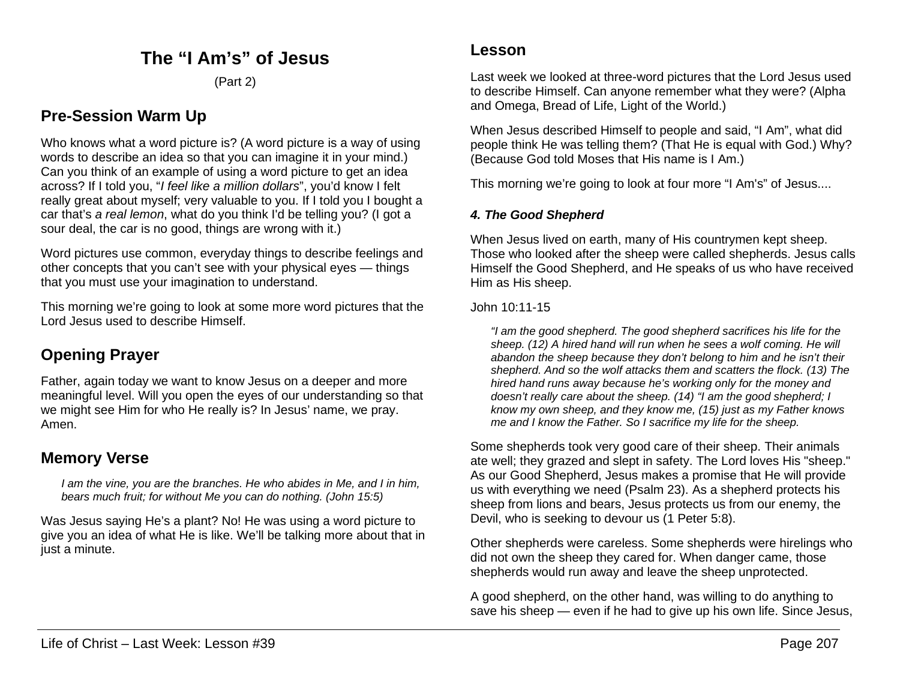## **The "I Am's" of Jesus**

(Part 2)

## **Pre-Session Warm Up**

Who knows what a word picture is? (A word picture is a way of using words to describe an idea so that you can imagine it in your mind.) Can you think of an example of using a word picture to get an idea across? If I told you, "*I feel like a million dollars*", you'd know I felt really great about myself; very valuable to you. If I told you I bought a car that's *a real lemon*, what do you think I'd be telling you? (I got a sour deal, the car is no good, things are wrong with it.)

Word pictures use common, everyday things to describe feelings and other concepts that you can't see with your physical eyes — things that you must use your imagination to understand.

This morning we're going to look at some more word pictures that the Lord Jesus used to describe Himself.

# **Opening Prayer**

Father, again today we want to know Jesus on a deeper and more meaningful level. Will you open the eyes of our understanding so that we might see Him for who He really is? In Jesus' name, we pray. Amen.

## **Memory Verse**

*I am the vine, you are the branches. He who abides in Me, and I in him, bears much fruit; for without Me you can do nothing. (John 15:5)*

Was Jesus saying He's a plant? No! He was using a word picture to give you an idea of what He is like. We'll be talking more about that in just a minute.

Last week we looked at three-word pictures that the Lord Jesus used to describe Himself. Can anyone remember what they were? (Alpha and Omega, Bread of Life, Light of the World.)

When Jesus described Himself to people and said, "I Am", what did people think He was telling them? (That He is equal with God.) Why? (Because God told Moses that His name is I Am.)

This morning we're going to look at four more "I Am's" of Jesus....

### *4. The Good Shepherd*

When Jesus lived on earth, many of His countrymen kept sheep. Those who looked after the sheep were called shepherds. Jesus calls Himself the Good Shepherd, and He speaks of us who have received Him as His sheep.

#### John 10:11-15

*"I am the good shepherd. The good shepherd sacrifices his life for the sheep. (12) A hired hand will run when he sees a wolf coming. He will abandon the sheep because they don't belong to him and he isn't their shepherd. And so the wolf attacks them and scatters the flock. (13) The hired hand runs away because he's working only for the money and doesn't really care about the sheep. (14) "I am the good shepherd; I know my own sheep, and they know me, (15) just as my Father knows me and I know the Father. So I sacrifice my life for the sheep.*

Some shepherds took very good care of their sheep. Their animals ate well; they grazed and slept in safety. The Lord loves His "sheep." As our Good Shepherd, Jesus makes a promise that He will provide us with everything we need (Psalm 23). As a shepherd protects his sheep from lions and bears, Jesus protects us from our enemy, the Devil, who is seeking to devour us (1 Peter 5:8).

Other shepherds were careless. Some shepherds were hirelings who did not own the sheep they cared for. When danger came, those shepherds would run away and leave the sheep unprotected.

A good shepherd, on the other hand, was willing to do anything to save his sheep — even if he had to give up his own life. Since Jesus,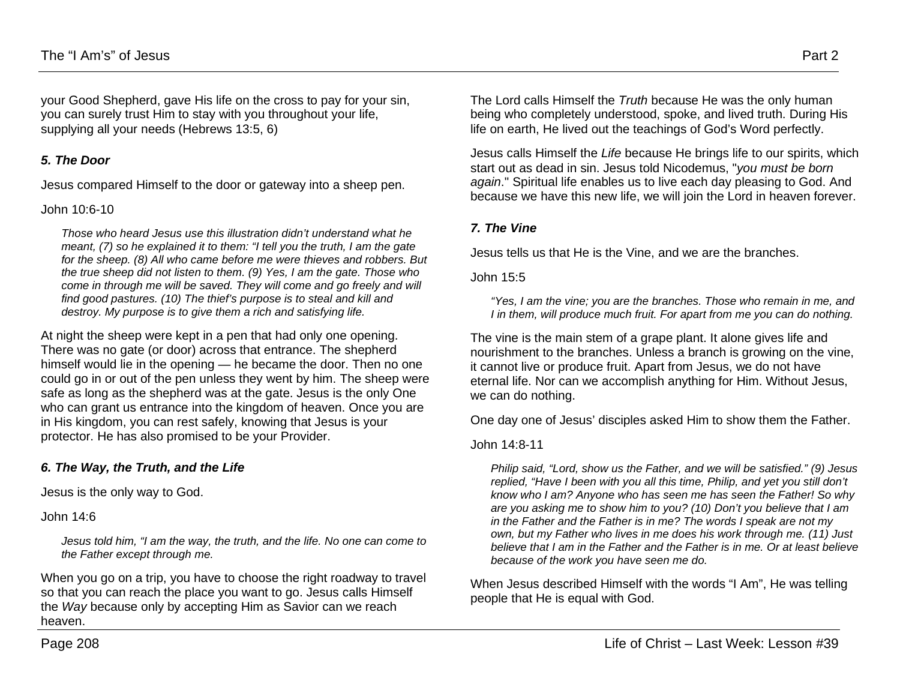your Good Shepherd, gave His life on the cross to pay for your sin, you can surely trust Him to stay with you throughout your life, supplying all your needs (Hebrews 13:5, 6)

#### *5. The Door*

Jesus compared Himself to the door or gateway into a sheep pen.

John 10:6-10

*Those who heard Jesus use this illustration didn't understand what he meant, (7) so he explained it to them: "I tell you the truth, I am the gate for the sheep. (8) All who came before me were thieves and robbers. But the true sheep did not listen to them. (9) Yes, I am the gate. Those who come in through me will be saved. They will come and go freely and will find good pastures. (10) The thief's purpose is to steal and kill and destroy. My purpose is to give them a rich and satisfying life.*

At night the sheep were kept in a pen that had only one opening. There was no gate (or door) across that entrance. The shepherd himself would lie in the opening — he became the door. Then no one could go in or out of the pen unless they went by him. The sheep were safe as long as the shepherd was at the gate. Jesus is the only One who can grant us entrance into the kingdom of heaven. Once you are in His kingdom, you can rest safely, knowing that Jesus is your protector. He has also promised to be your Provider.

#### *6. The Way, the Truth, and the Life*

Jesus is the only way to God.

John 14:6

*Jesus told him, "I am the way, the truth, and the life. No one can come to the Father except through me.*

When you go on a trip, you have to choose the right roadway to travel so that you can reach the place you want to go. Jesus calls Himself the *Way* because only by accepting Him as Savior can we reach heaven.

The Lord calls Himself the *Truth* because He was the only human being who completely understood, spoke, and lived truth. During His life on earth, He lived out the teachings of God's Word perfectly.

Jesus calls Himself the *Life* because He brings life to our spirits, which start out as dead in sin. Jesus told Nicodemus, "*you must be born again*." Spiritual life enables us to live each day pleasing to God. And because we have this new life, we will join the Lord in heaven forever.

#### *7. The Vine*

Jesus tells us that He is the Vine, and we are the branches.

John 15:5

*"Yes, I am the vine; you are the branches. Those who remain in me, and I in them, will produce much fruit. For apart from me you can do nothing.*

The vine is the main stem of a grape plant. It alone gives life and nourishment to the branches. Unless a branch is growing on the vine, it cannot live or produce fruit. Apart from Jesus, we do not have eternal life. Nor can we accomplish anything for Him. Without Jesus, we can do nothing.

One day one of Jesus' disciples asked Him to show them the Father.

John 14:8-11

*Philip said, "Lord, show us the Father, and we will be satisfied." (9) Jesus replied, "Have I been with you all this time, Philip, and yet you still don't know who I am? Anyone who has seen me has seen the Father! So why are you asking me to show him to you? (10) Don't you believe that I am in the Father and the Father is in me? The words I speak are not my own, but my Father who lives in me does his work through me. (11) Just believe that I am in the Father and the Father is in me. Or at least believe because of the work you have seen me do.*

When Jesus described Himself with the words "I Am", He was telling people that He is equal with God.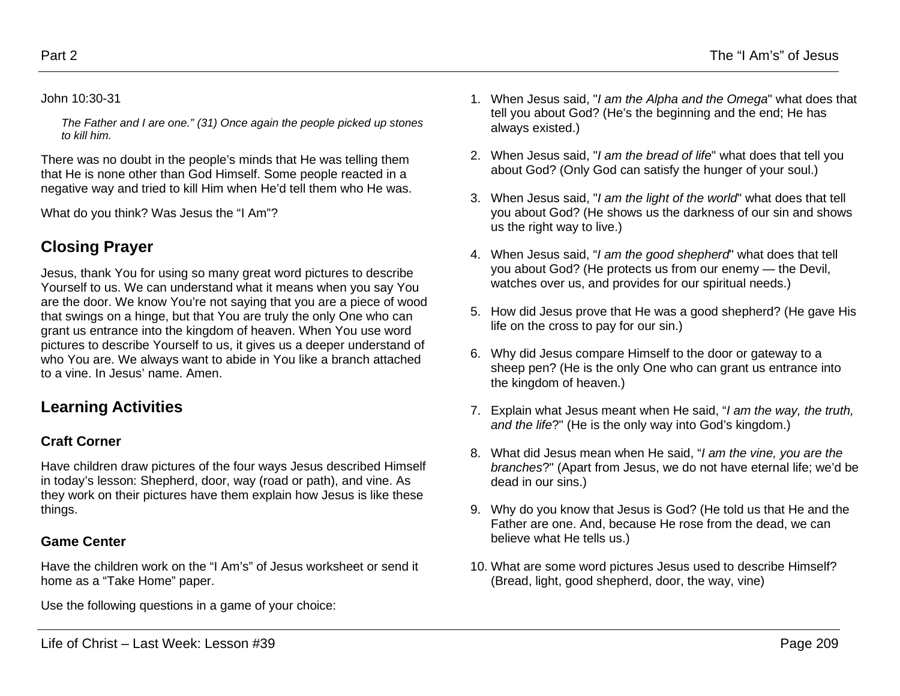#### John 10:30-31

*The Father and I are one." (31) Once again the people picked up stones to kill him.*

There was no doubt in the people's minds that He was telling them that He is none other than God Himself. Some people reacted in a negative way and tried to kill Him when He'd tell them who He was.

What do you think? Was Jesus the "I Am"?

# **Closing Prayer**

Jesus, thank You for using so many great word pictures to describe Yourself to us. We can understand what it means when you say You are the door. We know You're not saying that you are a piece of wood that swings on a hinge, but that You are truly the only One who can grant us entrance into the kingdom of heaven. When You use word pictures to describe Yourself to us, it gives us a deeper understand of who You are. We always want to abide in You like a branch attached to a vine. In Jesus' name. Amen.

# **Learning Activities**

## **Craft Corner**

Have children draw pictures of the four ways Jesus described Himself in today's lesson: Shepherd, door, way (road or path), and vine. As they work on their pictures have them explain how Jesus is like these things.

## **Game Center**

Have the children work on the "I Am's" of Jesus worksheet or send it home as a "Take Home" paper.

Use the following questions in a game of your choice:

- 1. When Jesus said, "*I am the Alpha and the Omega*" what does that tell you about God? (He's the beginning and the end; He has always existed.)
- 2. When Jesus said, "*I am the bread of life*" what does that tell you about God? (Only God can satisfy the hunger of your soul.)
- 3. When Jesus said, "*I am the light of the world*" what does that tell you about God? (He shows us the darkness of our sin and shows us the right way to live.)
- 4. When Jesus said, "*I am the good shepherd*" what does that tell you about God? (He protects us from our enemy — the Devil, watches over us, and provides for our spiritual needs.)
- 5. How did Jesus prove that He was a good shepherd? (He gave His life on the cross to pay for our sin.)
- 6. Why did Jesus compare Himself to the door or gateway to a sheep pen? (He is the only One who can grant us entrance into the kingdom of heaven.)
- 7. Explain what Jesus meant when He said, "*I am the way, the truth, and the life*?" (He is the only way into God's kingdom.)
- 8. What did Jesus mean when He said, "*I am the vine, you are the branches*?" (Apart from Jesus, we do not have eternal life; we'd be dead in our sins.)
- 9. Why do you know that Jesus is God? (He told us that He and the Father are one. And, because He rose from the dead, we can believe what He tells us.)
- 10. What are some word pictures Jesus used to describe Himself? (Bread, light, good shepherd, door, the way, vine)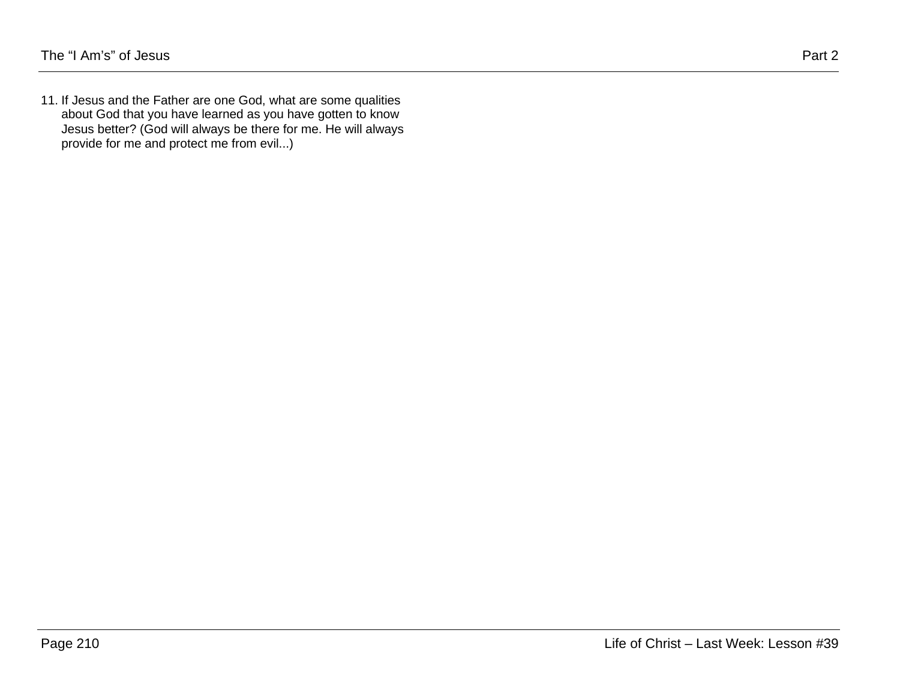11. If Jesus and the Father are one God, what are some qualities about God that you have learned as you have gotten to know Jesus better? (God will always be there for me. He will always provide for me and protect me from evil...)